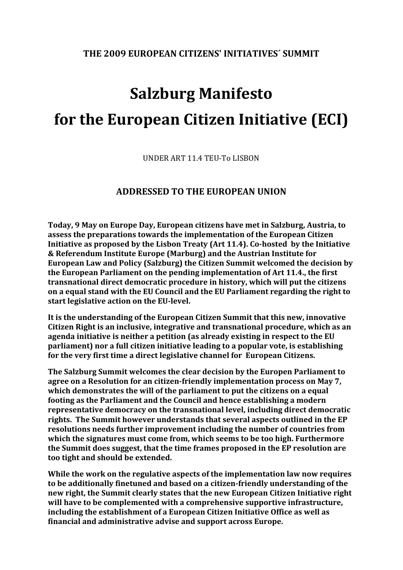## **THE 2009 EUROPEAN CITIZENS' INITIATIVES´ SUMMIT**

## **Salzburg Manifesto for the European Citizen Initiative (ECI)**

UNDER ART 11.4 TEU‐To LISBON

## **ADDRESSED TO THE EUROPEAN UNION**

**Today, 9 May on Europe Day, European citizens have met in Salzburg, Austria, to assess the preparations towards the implementation of the European Citizen Initiative as proposed by the Lisbon Treaty (Art 11.4). Cohosted by the Initiative & Referendum Institute Europe (Marburg) and the Austrian Institute for European Law and Policy (Salzburg) the Citizen Summit welcomed the decision by the European Parliament on the pending implementation of Art 11.4., the first transnational direct democratic procedure in history, which will put the citizens on a equal stand with the EU Council and the EU Parliament regarding the right to start legislative action on the EUlevel.** 

**It is the understanding of the European Citizen Summit that this new, innovative Citizen Right is an inclusive, integrative and transnational procedure, which as an agenda initiative is neither a petition (as already existing in respect to the EU parliament) nor a full citizen initiative leading to a popular vote, is establishing for the very first time a direct legislative channel for European Citizens.** 

**The Salzburg Summit welcomes the clear decision by the Europen Parliament to agree on a Resolution for an citizenfriendly implementation process on May 7, which demonstrates the will of the parliament to put the citizens on a equal footing as the Parliament and the Council and hence establishing a modern representative democracy on the transnational level, including direct democratic rights. The Summit however understands that several aspects outlined in the EP resolutions needs further improvement including the number of countries from which the signatures must come from, which seems to be too high. Furthermore the Summit does suggest, that the time frames proposed in the EP resolution are too tight and should be extended.** 

**While the work on the regulative aspects of the implementation law now requires to be additionally finetuned and based on a citizenfriendly understanding of the new right, the Summit clearly states that the new European Citizen Initiative right will have to be complemented with a comprehensive supportive infrastructure, including the establishment of a European Citizen Initiative Office as well as financial and administrative advise and support across Europe.**